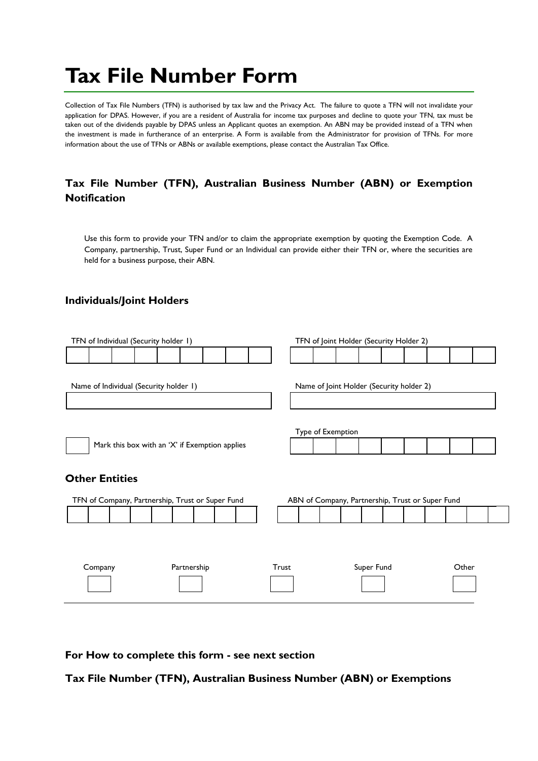## **Tax File Number Form**

Collection of Tax File Numbers (TFN) is authorised by tax law and the Privacy Act. The failure to quote a TFN will not invalidate your application for DPAS. However, if you are a resident of Australia for income tax purposes and decline to quote your TFN, tax must be taken out of the dividends payable by DPAS unless an Applicant quotes an exemption. An ABN may be provided instead of a TFN when the investment is made in furtherance of an enterprise. A Form is available from the Administrator for provision of TFNs. For more information about the use of TFNs or ABNs or available exemptions, please contact the Australian Tax Office.

## **Tax File Number (TFN), Australian Business Number (ABN) or Exemption Notification**

Use this form to provide your TFN and/or to claim the appropriate exemption by quoting the Exemption Code. A Company, partnership, Trust, Super Fund or an Individual can provide either their TFN or, where the securities are held for a business purpose, their ABN.

## **Individuals/Joint Holders**

| TFN of Individual (Security holder 1)            | TFN of Joint Holder (Security Holder 2)          |  |  |
|--------------------------------------------------|--------------------------------------------------|--|--|
|                                                  |                                                  |  |  |
|                                                  |                                                  |  |  |
| Name of Individual (Security holder 1)           | Name of Joint Holder (Security holder 2)         |  |  |
|                                                  |                                                  |  |  |
|                                                  |                                                  |  |  |
|                                                  | Type of Exemption                                |  |  |
| Mark this box with an 'X' if Exemption applies   |                                                  |  |  |
|                                                  |                                                  |  |  |
|                                                  |                                                  |  |  |
| <b>Other Entities</b>                            |                                                  |  |  |
| TFN of Company, Partnership, Trust or Super Fund | ABN of Company, Partnership, Trust or Super Fund |  |  |
|                                                  |                                                  |  |  |
|                                                  |                                                  |  |  |
|                                                  |                                                  |  |  |
|                                                  |                                                  |  |  |
| Partnership<br>Company                           | Super Fund<br>Trust<br>Other                     |  |  |
|                                                  |                                                  |  |  |

**For How to complete this form - see next section** 

**Tax File Number (TFN), Australian Business Number (ABN) or Exemptions**